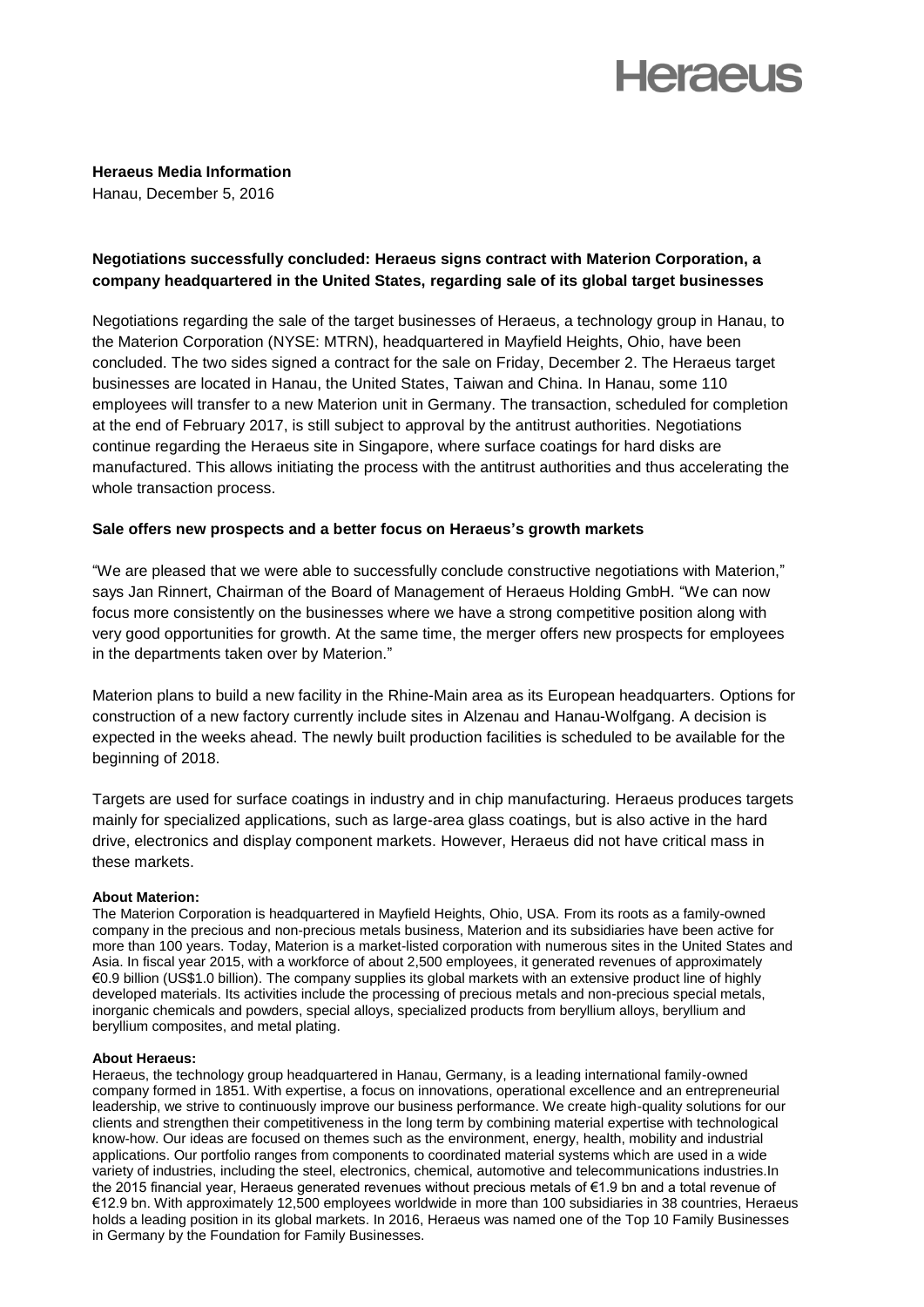# **Heraeus**

**Heraeus Media Information** Hanau, December 5, 2016

## **Negotiations successfully concluded: Heraeus signs contract with Materion Corporation, a company headquartered in the United States, regarding sale of its global target businesses**

Negotiations regarding the sale of the target businesses of Heraeus, a technology group in Hanau, to the Materion Corporation (NYSE: MTRN), headquartered in Mayfield Heights, Ohio, have been concluded. The two sides signed a contract for the sale on Friday, December 2. The Heraeus target businesses are located in Hanau, the United States, Taiwan and China. In Hanau, some 110 employees will transfer to a new Materion unit in Germany. The transaction, scheduled for completion at the end of February 2017, is still subject to approval by the antitrust authorities. Negotiations continue regarding the Heraeus site in Singapore, where surface coatings for hard disks are manufactured. This allows initiating the process with the antitrust authorities and thus accelerating the whole transaction process.

### **Sale offers new prospects and a better focus on Heraeus's growth markets**

"We are pleased that we were able to successfully conclude constructive negotiations with Materion," says Jan Rinnert, Chairman of the Board of Management of Heraeus Holding GmbH. "We can now focus more consistently on the businesses where we have a strong competitive position along with very good opportunities for growth. At the same time, the merger offers new prospects for employees in the departments taken over by Materion."

Materion plans to build a new facility in the Rhine-Main area as its European headquarters. Options for construction of a new factory currently include sites in Alzenau and Hanau-Wolfgang. A decision is expected in the weeks ahead. The newly built production facilities is scheduled to be available for the beginning of 2018.

Targets are used for surface coatings in industry and in chip manufacturing. Heraeus produces targets mainly for specialized applications, such as large-area glass coatings, but is also active in the hard drive, electronics and display component markets. However, Heraeus did not have critical mass in these markets.

#### **About Materion:**

The Materion Corporation is headquartered in Mayfield Heights, Ohio, USA. From its roots as a family-owned company in the precious and non-precious metals business, Materion and its subsidiaries have been active for more than 100 years. Today, Materion is a market-listed corporation with numerous sites in the United States and Asia. In fiscal year 2015, with a workforce of about 2,500 employees, it generated revenues of approximately €0.9 billion (US\$1.0 billion). The company supplies its global markets with an extensive product line of highly developed materials. Its activities include the processing of precious metals and non-precious special metals, inorganic chemicals and powders, special alloys, specialized products from beryllium alloys, beryllium and beryllium composites, and metal plating.

#### **About Heraeus:**

Heraeus, the technology group headquartered in Hanau, Germany, is a leading international family-owned company formed in 1851. With expertise, a focus on innovations, operational excellence and an entrepreneurial leadership, we strive to continuously improve our business performance. We create high-quality solutions for our clients and strengthen their competitiveness in the long term by combining material expertise with technological know-how. Our ideas are focused on themes such as the environment, energy, health, mobility and industrial applications. Our portfolio ranges from components to coordinated material systems which are used in a wide variety of industries, including the steel, electronics, chemical, automotive and telecommunications industries.In the 2015 financial year, Heraeus generated revenues without precious metals of €1.9 bn and a total revenue of €12.9 bn. With approximately 12,500 employees worldwide in more than 100 subsidiaries in 38 countries, Heraeus holds a leading position in its global markets. In 2016, Heraeus was named one of the Top 10 Family Businesses in Germany by the Foundation for Family Businesses.